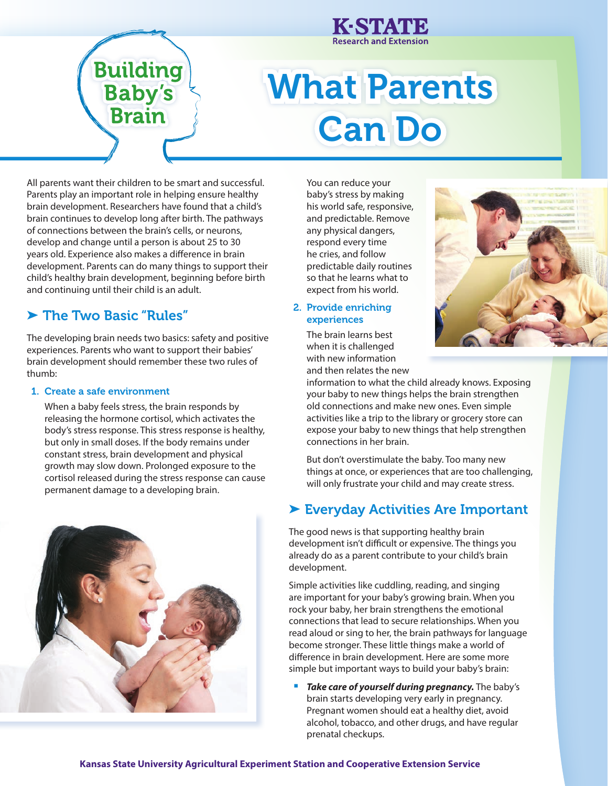# What Parents Can Do

**Research and Extension** 

All parents want their children to be smart and successful. Parents play an important role in helping ensure healthy brain development. Researchers have found that a child's brain continues to develop long after birth. The pathways of connections between the brain's cells, or neurons, develop and change until a person is about 25 to 30 years old. Experience also makes a difference in brain development. Parents can do many things to support their child's healthy brain development, beginning before birth and continuing until their child is an adult.

**Building** 

**Baby's** 

**Brain** 

## ▶ The Two Basic "Rules"

The developing brain needs two basics: safety and positive experiences. Parents who want to support their babies' brain development should remember these two rules of thumb:

#### 1. Create a safe environment

When a baby feels stress, the brain responds by releasing the hormone cortisol, which activates the body's stress response. This stress response is healthy, but only in small doses. If the body remains under constant stress, brain development and physical growth may slow down. Prolonged exposure to the cortisol released during the stress response can cause permanent damage to a developing brain.



You can reduce your baby's stress by making his world safe, responsive, and predictable. Remove any physical dangers, respond every time he cries, and follow predictable daily routines so that he learns what to expect from his world.

2. Provide enriching experiences

> The brain learns best when it is challenged with new information and then relates the new



information to what the child already knows. Exposing your baby to new things helps the brain strengthen old connections and make new ones. Even simple activities like a trip to the library or grocery store can expose your baby to new things that help strengthen connections in her brain.

But don't overstimulate the baby. Too many new things at once, or experiences that are too challenging, will only frustrate your child and may create stress.

## ➤ Everyday Activities Are Important

The good news is that supporting healthy brain development isn't difficult or expensive. The things you already do as a parent contribute to your child's brain development.

Simple activities like cuddling, reading, and singing are important for your baby's growing brain. When you rock your baby, her brain strengthens the emotional connections that lead to secure relationships. When you read aloud or sing to her, the brain pathways for language become stronger. These little things make a world of difference in brain development. Here are some more simple but important ways to build your baby's brain:

**Take care of yourself during pregnancy.** The baby's brain starts developing very early in pregnancy. Pregnant women should eat a healthy diet, avoid alcohol, tobacco, and other drugs, and have regular prenatal checkups.